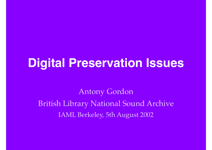## **Digital Preservation Issues**

Antony Gordon British Library National Sound Archive IAML Berkeley, 5th August 2002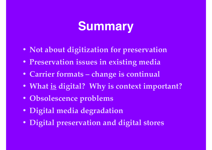# **Summary**

- **• Not about digitization for preservation**
- **• Preservation issues in existing media**
- **• Carrier formats change is continual**
- **• What is digital? Why is context important?**
- **• Obsolescence problems**
- **• Digital media degradation**
- **• Digital preservation and digital stores**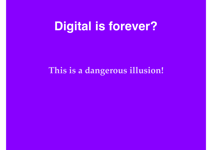### **Digital is forever?**

#### **This is a dangerous illusion!**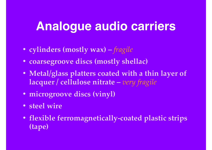## **Analogue audio carriers**

- **• cylinders (mostly wax)** *fragile*
- **• coarsegroove discs (mostly shellac)**
- **• Metal/glass platters coated with a thin layer of lacquer / cellulose nitrate –** *very fragile*
- **• microgroove discs (vinyl)**
- **• steel wire**
- **• flexible ferromagnetically-coated plastic strips (tape)**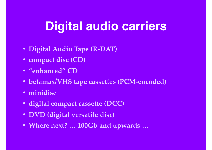# **Digital audio carriers**

- **• Digital Audio Tape (R-DAT)**
- **• compact disc (CD)**
- **• "enhanced" CD**
- **• betamax/VHS tape cassettes (PCM-encoded)**
- **• minidisc**
- **• digital compact cassette (DCC)**
- **• DVD (digital versatile disc)**
- **• Where next? … 100Gb and upwards …**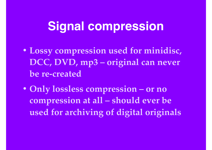### **Signal compression**

- **• Lossy compression used for minidisc, DCC, DVD, mp3 – original can never be re-created**
- **• Only lossless compression or no compression at all – should ever be used for archiving of digital originals**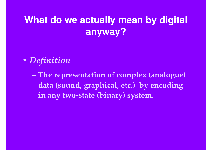#### **What do we actually mean by digital anyway?**

- *• Definition*
	- **– The representation of complex (analogue) data (sound, graphical, etc.) by encoding in any two-state (binary) system.**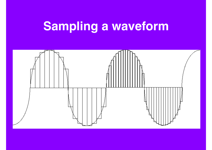# **Sampling a waveform**

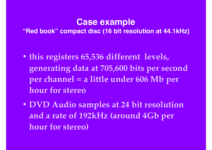#### **Case example "Red book" compact disc (16 bit resolution at 44.1kHz)**

- **• this registers 65,536 different levels, generating data at 705,600 bits per second per channel = a little under 606 Mb per hour for stereo**
- **• DVD Audio samples at 24 bit resolution and a rate of 192kHz (around 4Gb per hour for stereo)**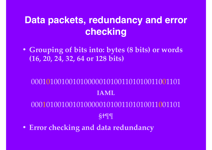#### **Data packets, redundancy and error checking**

**• Grouping of bits into: bytes (8 bits) or words (16, 20, 24, 32, 64 or 128 bits)**

#### 0001010010010100000101001101010011001101 **IAML** 000101001010100000101001101010011001101 **§†¶¶ • Error checking and data redundancy**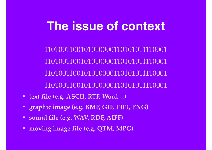## **The issue of context**

1101001100101010000110101011110001 1101001100101010000110101011110001 1101001100101010000110101011110001 1101001100101010000110101011110001

- **• text file (e.g. ASCII, RTF, Word…)**
- **• graphic image (e.g. BMP, GIF, TIFF, PNG)**
- **• sound file (e.g. WAV, RDF, AIFF)**
- **• moving image file (e.g. QTM, MPG)**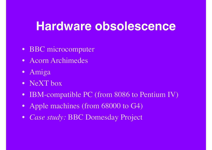#### **Hardware obsolescence**

- BBC microcomputer
- Acorn Archimedes
- Amiga
- NeXT box
- IBM-compatible PC (from 8086 to Pentium IV)
- Apple machines (from 68000 to G4)
- *• Case study:* BBC Domesday Project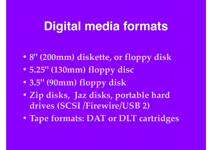### **Digital media formats**

- **• 8" (200mm) diskette, or floppy disk**
- **• 5.25" (130mm) floppy disc**
- **• 3.5" (90mm) floppy disk**
- **• Zip disks, Jaz disks, portable hard drives (SCSI /Firewire/USB 2)**
- **• Tape formats: DAT or DLT cartridges**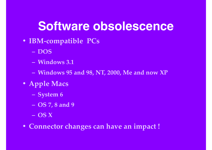## **Software obsolescence**

- **• IBM-compatible PCs**
	- **– DOS**
	- **– Windows 3.1**
	- **– Windows 95 and 98, NT, 2000, Me and now XP**
- **• Apple Macs**
	- **– System 6**
	- **– OS 7, 8 and 9**
	- **– OS X**
- **• Connector changes can have an impact !**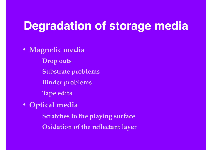#### **Degradation of storage media**

**• Magnetic media**

**Drop outs Substrate problems**

**Binder problems**

**Tape edits**

**• Optical media**

**Scratches to the playing surface Oxidation of the reflectant layer**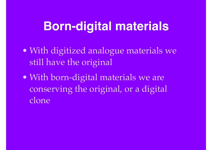## **Born-digital materials**

- With digitized analogue materials we still have the original
- With born-digital materials we are conserving the original, or a digital clone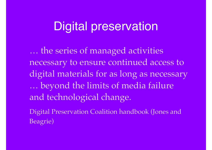#### Digital preservation

… the series of managed activities necessary to ensure continued access to digital materials for as long as necessary … beyond the limits of media failure and technological change.

Digital Preservation Coalition handbook (Jones and Beagrie)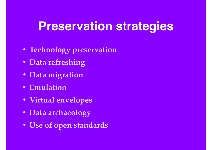### **Preservation strategies**

- **• Technology preservation**
- **• Data refreshing**
- **• Data migration**
- **• Emulation**
- **• Virtual envelopes**
- **• Data archaeology**
- **• Use of open standards**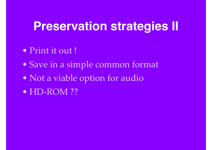### **Preservation strategies II**

- Print it out !
- Save in a simple common format
- Not a viable option for audio
- HD-ROM ??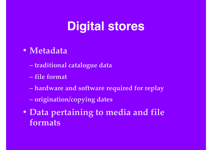# **Digital stores**

#### **• Metadata**

- **traditional catalogue data**
- **file format**
- **hardware and software required for replay**
- **origination/copying dates**
- **• Data pertaining to media and file formats**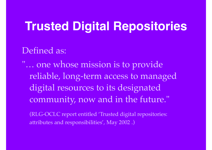# **Trusted Digital Repositories**

Defined as:

"… one whose mission is to provide reliable, long-term access to managed digital resources to its designated community, now and in the future."

(RLG-OCLC report entitled 'Trusted digital repositories: attributes and responsibilities', May 2002 .)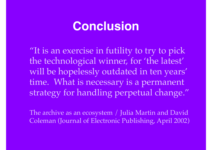### **Conclusion**

"It is an exercise in futility to try to pick the technological winner, for 'the latest' will be hopelessly outdated in ten years' time. What is necessary is a permanent strategy for handling perpetual change."

The archive as an ecosystem / Julia Martin and David Coleman (Journal of Electronic Publishing, April 2002)